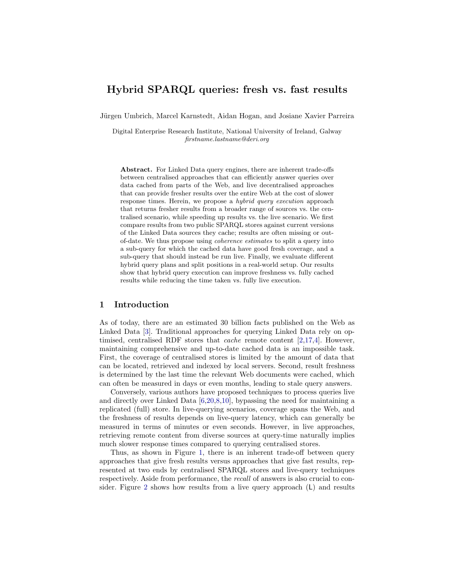# Hybrid SPARQL queries: fresh vs. fast results

Jürgen Umbrich, Marcel Karnstedt, Aidan Hogan, and Josiane Xavier Parreira

Digital Enterprise Research Institute, National University of Ireland, Galway firstname.lastname@deri.org

Abstract. For Linked Data query engines, there are inherent trade-offs between centralised approaches that can efficiently answer queries over data cached from parts of the Web, and live decentralised approaches that can provide fresher results over the entire Web at the cost of slower response times. Herein, we propose a hybrid query execution approach that returns fresher results from a broader range of sources vs. the centralised scenario, while speeding up results vs. the live scenario. We first compare results from two public SPARQL stores against current versions of the Linked Data sources they cache; results are often missing or outof-date. We thus propose using coherence estimates to split a query into a sub-query for which the cached data have good fresh coverage, and a sub-query that should instead be run live. Finally, we evaluate different hybrid query plans and split positions in a real-world setup. Our results show that hybrid query execution can improve freshness vs. fully cached results while reducing the time taken vs. fully live execution.

### 1 Introduction

As of today, there are an estimated 30 billion facts published on the Web as Linked Data [\[3\]](#page-15-0). Traditional approaches for querying Linked Data rely on optimised, centralised RDF stores that *cache* remote content [\[2](#page-15-1)[,17,](#page-15-2)[4\]](#page-15-3). However, maintaining comprehensive and up-to-date cached data is an impossible task. First, the coverage of centralised stores is limited by the amount of data that can be located, retrieved and indexed by local servers. Second, result freshness is determined by the last time the relevant Web documents were cached, which can often be measured in days or even months, leading to stale query answers.

Conversely, various authors have proposed techniques to process queries live and directly over Linked Data [\[6,](#page-15-4)[20,](#page-15-5)[8,](#page-15-6)[10\]](#page-15-7), bypassing the need for maintaining a replicated (full) store. In live-querying scenarios, coverage spans the Web, and the freshness of results depends on live-query latency, which can generally be measured in terms of minutes or even seconds. However, in live approaches, retrieving remote content from diverse sources at query-time naturally implies much slower response times compared to querying centralised stores.

Thus, as shown in Figure [1,](#page-1-0) there is an inherent trade-off between query approaches that give fresh results versus approaches that give fast results, represented at two ends by centralised SPARQL stores and live-query techniques respectively. Aside from performance, the recall of answers is also crucial to consider. Figure [2](#page-1-1) shows how results from a live query approach (L) and results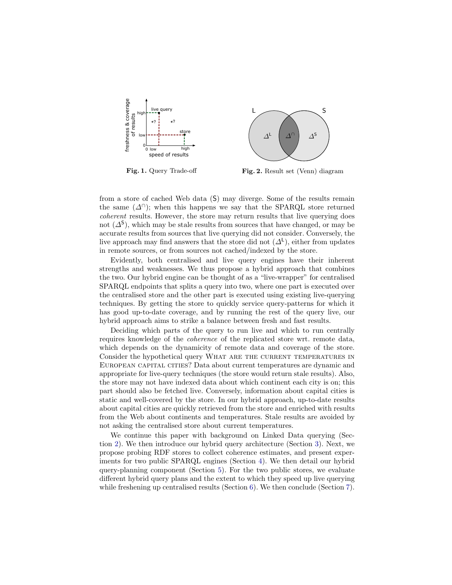

<span id="page-1-0"></span>Fig. 1. Query Trade-off

<span id="page-1-1"></span>Fig. 2. Result set (Venn) diagram

from a store of cached Web data (S) may diverge. Some of the results remain the same  $(\Delta \cap)$ ; when this happens we say that the SPARQL store returned coherent results. However, the store may return results that live querying does not  $(\Delta^{\mathsf{S}})$ , which may be stale results from sources that have changed, or may be accurate results from sources that live querying did not consider. Conversely, the live approach may find answers that the store did not  $(\Delta^{\mathsf{L}})$ , either from updates in remote sources, or from sources not cached/indexed by the store.

Evidently, both centralised and live query engines have their inherent strengths and weaknesses. We thus propose a hybrid approach that combines the two. Our hybrid engine can be thought of as a "live-wrapper" for centralised SPARQL endpoints that splits a query into two, where one part is executed over the centralised store and the other part is executed using existing live-querying techniques. By getting the store to quickly service query-patterns for which it has good up-to-date coverage, and by running the rest of the query live, our hybrid approach aims to strike a balance between fresh and fast results.

Deciding which parts of the query to run live and which to run centrally requires knowledge of the coherence of the replicated store wrt. remote data, which depends on the dynamicity of remote data and coverage of the store. Consider the hypothetical query WHAT ARE THE CURRENT TEMPERATURES IN European capital cities? Data about current temperatures are dynamic and appropriate for live-query techniques (the store would return stale results). Also, the store may not have indexed data about which continent each city is on; this part should also be fetched live. Conversely, information about capital cities is static and well-covered by the store. In our hybrid approach, up-to-date results about capital cities are quickly retrieved from the store and enriched with results from the Web about continents and temperatures. Stale results are avoided by not asking the centralised store about current temperatures.

We continue this paper with background on Linked Data querying (Section [2\)](#page-2-0). We then introduce our hybrid query architecture (Section [3\)](#page-3-0). Next, we propose probing RDF stores to collect coherence estimates, and present experiments for two public SPARQL engines (Section [4\)](#page-4-0). We then detail our hybrid query-planning component (Section [5\)](#page-7-0). For the two public stores, we evaluate different hybrid query plans and the extent to which they speed up live querying while freshening up centralised results (Section [6\)](#page-9-0). We then conclude (Section [7\)](#page-14-0).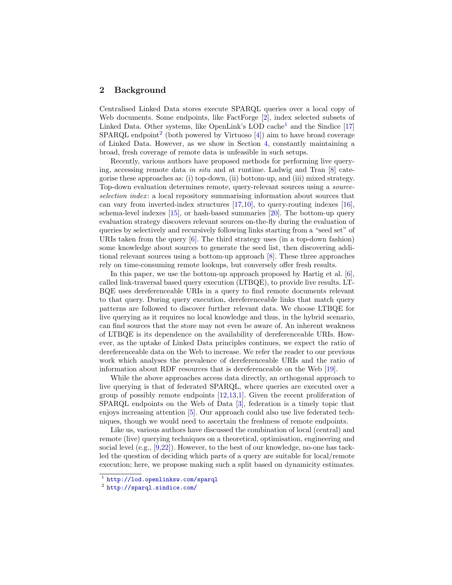### <span id="page-2-0"></span>2 Background

Centralised Linked Data stores execute SPARQL queries over a local copy of Web documents. Some endpoints, like FactForge [\[2\]](#page-15-1), index selected subsets of Linked Data. Other systems, like OpenLink's LOD cache<sup>[1](#page-2-1)</sup> and the Sindice  $[17]$  $SPARQL$  endpoint<sup>[2](#page-2-2)</sup> (both powered by Virtuoso [\[4\]](#page-15-3)) aim to have broad coverage of Linked Data. However, as we show in Section [4,](#page-4-0) constantly maintaining a broad, fresh coverage of remote data is unfeasible in such setups.

Recently, various authors have proposed methods for performing live querying, accessing remote data in situ and at runtime. Ladwig and Tran [\[8\]](#page-15-6) categorise these approaches as: (i) top-down, (ii) bottom-up, and (iii) mixed strategy. Top-down evaluation determines remote, query-relevant sources using a sourceselection index: a local repository summarising information about sources that can vary from inverted-index structures [\[17,](#page-15-2)[10\]](#page-15-7), to query-routing indexes [\[16\]](#page-15-8), schema-level indexes [\[15\]](#page-15-9), or hash-based summaries [\[20\]](#page-15-5). The bottom-up query evaluation strategy discovers relevant sources on-the-fly during the evaluation of queries by selectively and recursively following links starting from a "seed set" of URIs taken from the query [\[6\]](#page-15-4). The third strategy uses (in a top-down fashion) some knowledge about sources to generate the seed list, then discovering additional relevant sources using a bottom-up approach [\[8\]](#page-15-6). These three approaches rely on time-consuming remote lookups, but conversely offer fresh results.

In this paper, we use the bottom-up approach proposed by Hartig et al. [\[6\]](#page-15-4), called link-traversal based query execution (LTBQE), to provide live results. LT-BQE uses dereferenceable URIs in a query to find remote documents relevant to that query. During query execution, dereferenceable links that match query patterns are followed to discover further relevant data. We choose LTBQE for live querying as it requires no local knowledge and thus, in the hybrid scenario, can find sources that the store may not even be aware of. An inherent weakness of LTBQE is its dependence on the availability of dereferenceable URIs. However, as the uptake of Linked Data principles continues, we expect the ratio of dereferenceable data on the Web to increase. We refer the reader to our previous work which analyses the prevalence of dereferenceable URIs and the ratio of information about RDF resources that is dereferenceable on the Web [\[19\]](#page-15-10).

While the above approaches access data directly, an orthogonal approach to live querying is that of federated SPARQL, where queries are executed over a group of possibly remote endpoints [\[12](#page-15-11)[,13,](#page-15-12)[1\]](#page-15-13). Given the recent proliferation of SPARQL endpoints on the Web of Data [\[3\]](#page-15-0), federation is a timely topic that enjoys increasing attention [\[5\]](#page-15-14). Our approach could also use live federated techniques, though we would need to ascertain the freshness of remote endpoints.

Like us, various authors have discussed the combination of local (central) and remote (live) querying techniques on a theoretical, optimisation, engineering and social level (e.g., [\[9,](#page-15-15)[22\]](#page-15-16)). However, to the best of our knowledge, no-one has tackled the question of deciding which parts of a query are suitable for local/remote execution; here, we propose making such a split based on dynamicity estimates.

<span id="page-2-1"></span><sup>1</sup> <http://lod.openlinksw.com/sparql>

<span id="page-2-2"></span><sup>2</sup> <http://sparql.sindice.com/>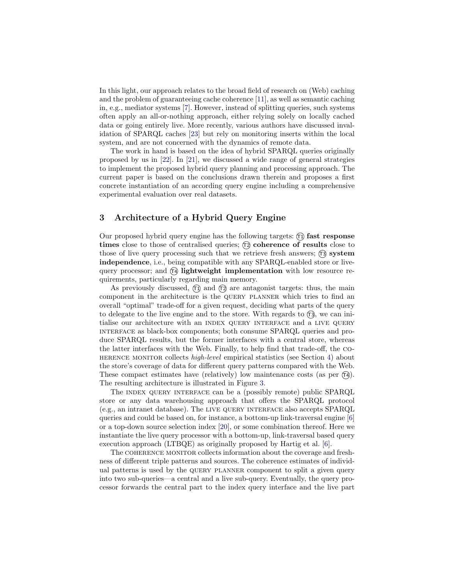In this light, our approach relates to the broad field of research on (Web) caching and the problem of guaranteeing cache coherence [\[11\]](#page-15-17), as well as semantic caching in, e.g., mediator systems [\[7\]](#page-15-18). However, instead of splitting queries, such systems often apply an all-or-nothing approach, either relying solely on locally cached data or going entirely live. More recently, various authors have discussed invalidation of SPARQL caches [\[23\]](#page-15-19) but rely on monitoring inserts within the local system, and are not concerned with the dynamics of remote data.

The work in hand is based on the idea of hybrid SPARQL queries originally proposed by us in [\[22\]](#page-15-16). In [\[21\]](#page-15-20), we discussed a wide range of general strategies to implement the proposed hybrid query planning and processing approach. The current paper is based on the conclusions drawn therein and proposes a first concrete instantiation of an according query engine including a comprehensive experimental evaluation over real datasets.

### <span id="page-3-0"></span>3 Architecture of a Hybrid Query Engine

Our proposed hybrid query engine has the following targets:  $\hat{I}$  fast response times close to those of centralised queries;  $\tau$  coherence of results close to those of live query processing such that we retrieve fresh answers; T3 system independence, i.e., being compatible with any SPARQL-enabled store or livequery processor; and  $\hat{H}$  lightweight implementation with low resource requirements, particularly regarding main memory.

As previously discussed,  $(\overline{r})$  and  $(\overline{r})$  are antagonist targets: thus, the main component in the architecture is the query planner which tries to find an overall "optimal" trade-off for a given request, deciding what parts of the query to delegate to the live engine and to the store. With regards to  $\sigma$ , we can initialise our architecture with an index query interface and a live query interface as black-box components; both consume SPARQL queries and produce SPARQL results, but the former interfaces with a central store, whereas the latter interfaces with the Web. Finally, to help find that trade-off, the coherence monitor collects high-level empirical statistics (see Section [4\)](#page-4-0) about the store's coverage of data for different query patterns compared with the Web. These compact estimates have (relatively) low maintenance costs (as per  $(\hat{\tau}4)$ ). The resulting architecture is illustrated in Figure [3.](#page-4-1)

The index query interface can be a (possibly remote) public SPARQL store or any data warehousing approach that offers the SPARQL protocol (e.g., an intranet database). The live query interface also accepts SPARQL queries and could be based on, for instance, a bottom-up link-traversal engine [\[6\]](#page-15-4) or a top-down source selection index [\[20\]](#page-15-5), or some combination thereof. Here we instantiate the live query processor with a bottom-up, link-traversal based query execution approach (LTBQE) as originally proposed by Hartig et al. [\[6\]](#page-15-4).

The coherence monitor collects information about the coverage and freshness of different triple patterns and sources. The coherence estimates of individual patterns is used by the query planner component to split a given query into two sub-queries—a central and a live sub-query. Eventually, the query processor forwards the central part to the index query interface and the live part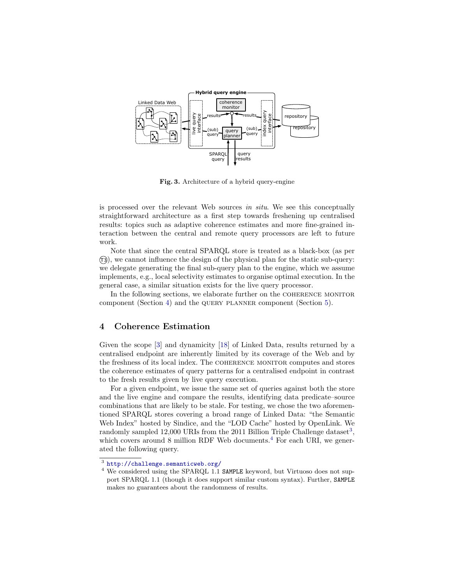

<span id="page-4-1"></span>Fig. 3. Architecture of a hybrid query-engine

is processed over the relevant Web sources in situ. We see this conceptually straightforward architecture as a first step towards freshening up centralised results: topics such as adaptive coherence estimates and more fine-grained interaction between the central and remote query processors are left to future work.

Note that since the central SPARQL store is treated as a black-box (as per T3 ), we cannot influence the design of the physical plan for the static sub-query: we delegate generating the final sub-query plan to the engine, which we assume implements, e.g., local selectivity estimates to organise optimal execution. In the general case, a similar situation exists for the live query processor.

In the following sections, we elaborate further on the COHERENCE MONITOR component (Section [4\)](#page-4-0) and the query planner component (Section [5\)](#page-7-0).

# <span id="page-4-0"></span>4 Coherence Estimation

Given the scope [\[3\]](#page-15-0) and dynamicity [\[18\]](#page-15-21) of Linked Data, results returned by a centralised endpoint are inherently limited by its coverage of the Web and by the freshness of its local index. The coherence monitor computes and stores the coherence estimates of query patterns for a centralised endpoint in contrast to the fresh results given by live query execution.

For a given endpoint, we issue the same set of queries against both the store and the live engine and compare the results, identifying data predicate–source combinations that are likely to be stale. For testing, we chose the two aforementioned SPARQL stores covering a broad range of Linked Data: "the Semantic Web Index" hosted by Sindice, and the "LOD Cache" hosted by OpenLink. We randomly sampled 12,000 URIs from the 2011 Billion Triple Challenge dataset<sup>[3](#page-4-2)</sup>, which covers around 8 million RDF Web documents.<sup>[4](#page-4-3)</sup> For each URI, we generated the following query.

<span id="page-4-2"></span><sup>3</sup> <http://challenge.semanticweb.org/>

<span id="page-4-3"></span><sup>&</sup>lt;sup>4</sup> We considered using the SPARQL 1.1 SAMPLE keyword, but Virtuoso does not support SPARQL 1.1 (though it does support similar custom syntax). Further, SAMPLE makes no guarantees about the randomness of results.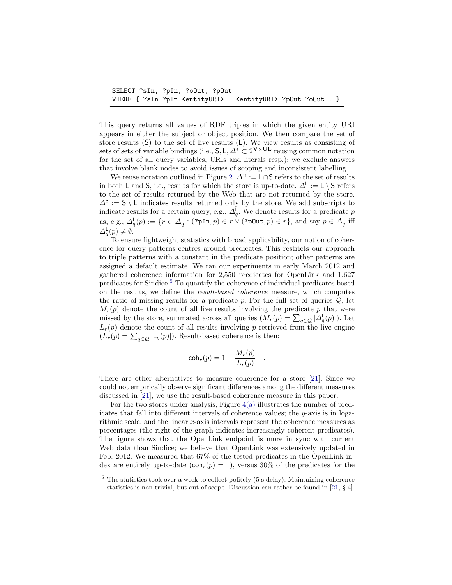| SELECT ?sIn, ?pIn, ?oOut, ?pOut |  |
|---------------------------------|--|
|                                 |  |

This query returns all values of RDF triples in which the given entity URI appears in either the subject or object position. We then compare the set of store results (S) to the set of live results (L). We view results as consisting of sets of sets of variable bindings (i.e.,  $\mathsf{S}, \mathsf{L}, \Delta^* \subset 2^{\mathbf{V} \times \mathbf{UL}}$  reusing common notation for the set of all query variables, URIs and literals resp.); we exclude answers that involve blank nodes to avoid issues of scoping and inconsistent labelling.

We reuse notation outlined in Figure [2.](#page-1-1)  $\Delta^{\cap}$  := L∩S refers to the set of results in both L and S, i.e., results for which the store is up-to-date.  $\Delta^{\mathsf{L}} := \mathsf{L} \setminus \mathsf{S}$  refers to the set of results returned by the Web that are not returned by the store.  $\Delta^{S}$  := S \ L indicates results returned only by the store. We add subscripts to indicate results for a certain query, e.g.,  $\Delta_q^{\mathsf{L}}$ . We denote results for a predicate p as, e.g.,  $\Delta_q^{\mathsf{L}}(p) := \{r \in \Delta_q^{\mathsf{L}} : (\mathfrak{D}^{\mathsf{L}}\mathsf{In}, p) \in r \vee (\mathfrak{D}^{\mathsf{Out}}, p) \in r\}$ , and say  $p \in \Delta_q^{\mathsf{L}}$  iff  $\Delta_q^{\mathsf{L}}(p) \neq \emptyset.$ 

To ensure lightweight statistics with broad applicability, our notion of coherence for query patterns centres around predicates. This restricts our approach to triple patterns with a constant in the predicate position; other patterns are assigned a default estimate. We ran our experiments in early March 2012 and gathered coherence information for 2,550 predicates for OpenLink and 1,627 predicates for Sindice.[5](#page-5-0) To quantify the coherence of individual predicates based on the results, we define the result-based coherence measure, which computes the ratio of missing results for a predicate  $p$ . For the full set of queries  $Q$ , let  $M_r(p)$  denote the count of all live results involving the predicate p that were missed by the store, summated across all queries  $(M_r(p) = \sum_{q \in \mathcal{Q}} |\Delta_q^{\mathsf{L}}(p)|)$ . Let  $L_r(p)$  denote the count of all results involving p retrieved from the live engine  $(L_r(p) = \sum_{q \in \mathcal{Q}} |L_q(p)|)$ . Result-based coherence is then:

$$
\mathsf{coh}_r(p) = 1 - \frac{M_r(p)}{L_r(p)}
$$

.

There are other alternatives to measure coherence for a store [\[21\]](#page-15-20). Since we could not empirically observe significant differences among the different measures discussed in [\[21\]](#page-15-20), we use the result-based coherence measure in this paper.

For the two stores under analysis, Figure [4\(a\)](#page-6-0) illustrates the number of predicates that fall into different intervals of coherence values; the  $y$ -axis is in logarithmic scale, and the linear  $x$ -axis intervals represent the coherence measures as percentages (the right of the graph indicates increasingly coherent predicates). The figure shows that the OpenLink endpoint is more in sync with current Web data than Sindice; we believe that OpenLink was extensively updated in Feb. 2012. We measured that 67% of the tested predicates in the OpenLink index are entirely up-to-date ( $\text{coh}_r(p) = 1$ ), versus 30% of the predicates for the

<span id="page-5-0"></span> $^5$  The statistics took over a week to collect politely (5 s delay). Maintaining coherence statistics is non-trivial, but out of scope. Discussion can rather be found in [\[21,](#page-15-20) § 4].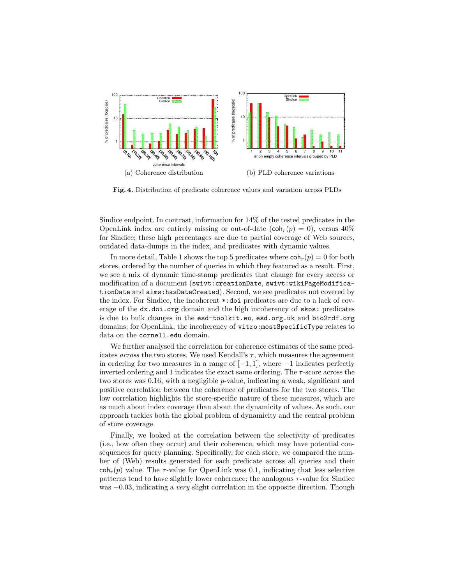<span id="page-6-0"></span>

<span id="page-6-1"></span>Fig. 4. Distribution of predicate coherence values and variation across PLDs

Sindice endpoint. In contrast, information for 14% of the tested predicates in the OpenLink index are entirely missing or out-of-date ( $\text{coh}_r(p) = 0$ ), versus  $40\%$ for Sindice; these high percentages are due to partial coverage of Web sources, outdated data-dumps in the index, and predicates with dynamic values.

In more detail, Table [1](#page-7-1) shows the top 5 predicates where  $\text{coh}_r(p) = 0$  for both stores, ordered by the number of queries in which they featured as a result. First, we see a mix of dynamic time-stamp predicates that change for every access or modification of a document (swivt:creationDate, swivt:wikiPageModificationDate and aims:hasDateCreated). Second, we see predicates not covered by the index. For Sindice, the incoherent \*:doi predicates are due to a lack of coverage of the dx.doi.org domain and the high incoherency of skos: predicates is due to bulk changes in the esd-toolkit.eu, esd.org.uk and bio2rdf.org domains; for OpenLink, the incoherency of vitro:mostSpecificType relates to data on the cornell.edu domain.

We further analysed the correlation for coherence estimates of the same predicates *across* the two stores. We used Kendall's  $\tau$ , which measures the agreement in ordering for two measures in a range of  $[-1, 1]$ , where  $-1$  indicates perfectly inverted ordering and 1 indicates the exact same ordering. The  $\tau$ -score across the two stores was 0.16, with a negligible *p*-value, indicating a weak, significant and positive correlation between the coherence of predicates for the two stores. The low correlation highlights the store-specific nature of these measures, which are as much about index coverage than about the dynamicity of values. As such, our approach tackles both the global problem of dynamicity and the central problem of store coverage.

Finally, we looked at the correlation between the selectivity of predicates (i.e., how often they occur) and their coherence, which may have potential consequences for query planning. Specifically, for each store, we compared the number of (Web) results generated for each predicate across all queries and their  $\text{coh}_r(p)$  value. The  $\tau$ -value for OpenLink was 0.1, indicating that less selective patterns tend to have slightly lower coherence; the analogous  $\tau$ -value for Sindice was  $-0.03$ , indicating a *very* slight correlation in the opposite direction. Though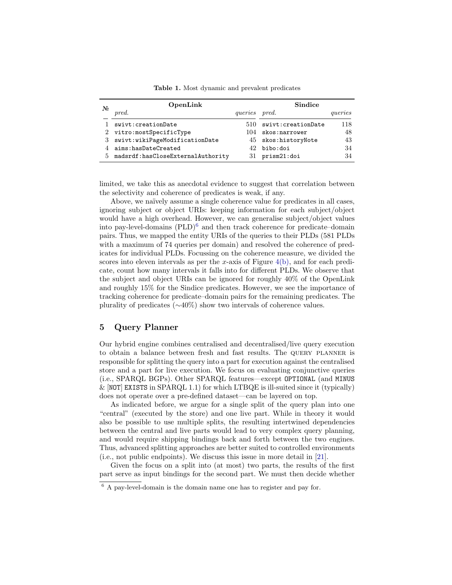<span id="page-7-1"></span>Table 1. Most dynamic and prevalent predicates

| N <sub>2</sub> | OpenLink                          |         | Sindice                   |         |  |
|----------------|-----------------------------------|---------|---------------------------|---------|--|
|                | pred.                             | queries | pred.                     | queries |  |
|                | swivt: creationDate               |         | $510$ swivt: creationDate | 118     |  |
| 2              | vitro:mostSpecificType            |         | $104$ skos: narrower      | 48      |  |
| 3              | swivt:wikiPageModificationDate    |         | 45 skos: historyNote      | 43      |  |
|                | aims:hasDateCreated               |         | 42 bibo:doi               | 34      |  |
| 5              | madsrdf:hasCloseExternalAuthority | 31.     | prism21:doi               | 34      |  |

limited, we take this as anecdotal evidence to suggest that correlation between the selectivity and coherence of predicates is weak, if any.

Above, we naïvely assume a single coherence value for predicates in all cases, ignoring subject or object URIs: keeping information for each subject/object would have a high overhead. However, we can generalise subject/object values into pay-level-domains  $(PLD)^6$  $(PLD)^6$  and then track coherence for predicate–domain pairs. Thus, we mapped the entity URIs of the queries to their PLDs (581 PLDs with a maximum of 74 queries per domain) and resolved the coherence of predicates for individual PLDs. Focussing on the coherence measure, we divided the scores into eleven intervals as per the x-axis of Figure  $4(b)$ , and for each predicate, count how many intervals it falls into for different PLDs. We observe that the subject and object URIs can be ignored for roughly 40% of the OpenLink and roughly 15% for the Sindice predicates. However, we see the importance of tracking coherence for predicate–domain pairs for the remaining predicates. The plurality of predicates (∼40%) show two intervals of coherence values.

### <span id="page-7-0"></span>5 Query Planner

Our hybrid engine combines centralised and decentralised/live query execution to obtain a balance between fresh and fast results. The query planner is responsible for splitting the query into a part for execution against the centralised store and a part for live execution. We focus on evaluating conjunctive queries (i.e., SPARQL BGPs). Other SPARQL features—except OPTIONAL (and MINUS  $\&$  NOT EXISTS in SPARQL 1.1) for which LTBQE is ill-suited since it (typically) does not operate over a pre-defined dataset—can be layered on top.

As indicated before, we argue for a single split of the query plan into one "central" (executed by the store) and one live part. While in theory it would also be possible to use multiple splits, the resulting intertwined dependencies between the central and live parts would lead to very complex query planning, and would require shipping bindings back and forth between the two engines. Thus, advanced splitting approaches are better suited to controlled environments (i.e., not public endpoints). We discuss this issue in more detail in [\[21\]](#page-15-20).

Given the focus on a split into (at most) two parts, the results of the first part serve as input bindings for the second part. We must then decide whether

<span id="page-7-2"></span><sup>6</sup> A pay-level-domain is the domain name one has to register and pay for.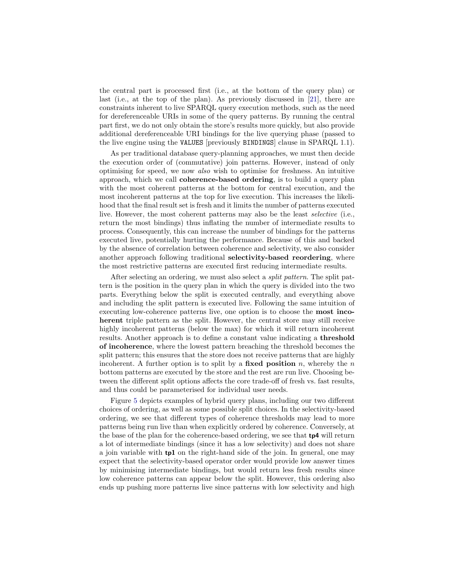the central part is processed first (i.e., at the bottom of the query plan) or last (i.e., at the top of the plan). As previously discussed in [\[21\]](#page-15-20), there are constraints inherent to live SPARQL query execution methods, such as the need for dereferenceable URIs in some of the query patterns. By running the central part first, we do not only obtain the store's results more quickly, but also provide additional dereferenceable URI bindings for the live querying phase (passed to the live engine using the VALUES [previously BINDINGS] clause in SPARQL 1.1).

As per traditional database query-planning approaches, we must then decide the execution order of (commutative) join patterns. However, instead of only optimising for speed, we now also wish to optimise for freshness. An intuitive approach, which we call coherence-based ordering, is to build a query plan with the most coherent patterns at the bottom for central execution, and the most incoherent patterns at the top for live execution. This increases the likelihood that the final result set is fresh and it limits the number of patterns executed live. However, the most coherent patterns may also be the least selective (i.e., return the most bindings) thus inflating the number of intermediate results to process. Consequently, this can increase the number of bindings for the patterns executed live, potentially hurting the performance. Because of this and backed by the absence of correlation between coherence and selectivity, we also consider another approach following traditional selectivity-based reordering, where the most restrictive patterns are executed first reducing intermediate results.

After selecting an ordering, we must also select a split pattern. The split pattern is the position in the query plan in which the query is divided into the two parts. Everything below the split is executed centrally, and everything above and including the split pattern is executed live. Following the same intuition of executing low-coherence patterns live, one option is to choose the most incoherent triple pattern as the split. However, the central store may still receive highly incoherent patterns (below the max) for which it will return incoherent results. Another approach is to define a constant value indicating a threshold of incoherence, where the lowest pattern breaching the threshold becomes the split pattern; this ensures that the store does not receive patterns that are highly incoherent. A further option is to split by a fixed position  $n$ , whereby the  $n$ bottom patterns are executed by the store and the rest are run live. Choosing between the different split options affects the core trade-off of fresh vs. fast results, and thus could be parameterised for individual user needs.

Figure [5](#page-9-1) depicts examples of hybrid query plans, including our two different choices of ordering, as well as some possible split choices. In the selectivity-based ordering, we see that different types of coherence thresholds may lead to more patterns being run live than when explicitly ordered by coherence. Conversely, at the base of the plan for the coherence-based ordering, we see that tp4 will return a lot of intermediate bindings (since it has a low selectivity) and does not share a join variable with tp1 on the right-hand side of the join. In general, one may expect that the selectivity-based operator order would provide low answer times by minimising intermediate bindings, but would return less fresh results since low coherence patterns can appear below the split. However, this ordering also ends up pushing more patterns live since patterns with low selectivity and high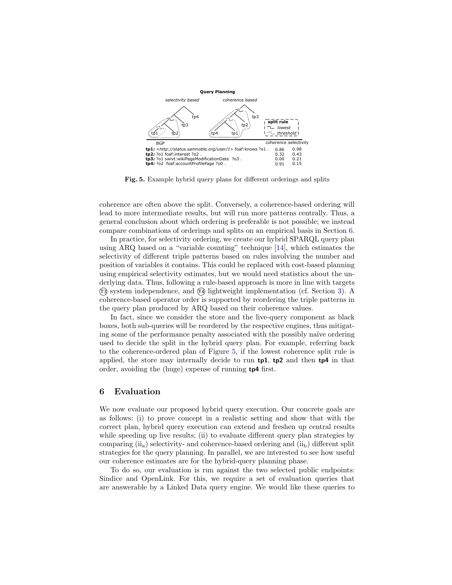

<span id="page-9-1"></span>Fig. 5. Example hybrid query plans for different orderings and splits

coherence are often above the split. Conversely, a coherence-based ordering will lead to more intermediate results, but will run more patterns centrally. Thus, a general conclusion about which ordering is preferable is not possible; we instead compare combinations of orderings and splits on an empirical basis in Section [6.](#page-9-0)

In practice, for selectivity ordering, we create our hybrid SPARQL query plan using ARQ based on a "variable counting" technique [\[14\]](#page-15-22), which estimates the selectivity of different triple patterns based on rules involving the number and position of variables it contains. This could be replaced with cost-based planning using empirical selectivity estimates, but we would need statistics about the underlying data. Thus, following a rule-based approach is more in line with targets T3 system independence, and T4 lightweight implementation (cf. Section [3\)](#page-3-0). A coherence-based operator order is supported by reordering the triple patterns in the query plan produced by ARQ based on their coherence values.

In fact, since we consider the store and the live-query component as black boxes, both sub-queries will be reordered by the respective engines, thus mitigating some of the performance penalty associated with the possibly naïve ordering used to decide the split in the hybrid query plan. For example, referring back to the coherence-ordered plan of Figure [5,](#page-9-1) if the lowest coherence split rule is applied, the store may internally decide to run  $tp1$ ,  $tp2$  and then  $tp4$  in that order, avoiding the (huge) expense of running tp4 first.

### <span id="page-9-0"></span>6 Evaluation

We now evaluate our proposed hybrid query execution. Our concrete goals are as follows: (i) to prove concept in a realistic setting and show that with the correct plan, hybrid query execution can extend and freshen up central results while speeding up live results; (ii) to evaluate different query plan strategies by comparing  $(i<sub>i</sub>)$  selectivity- and coherence-based ordering and  $(i<sub>i</sub>)$  different split strategies for the query planning. In parallel, we are interested to see how useful our coherence estimates are for the hybrid-query planning phase.

To do so, our evaluation is run against the two selected public endpoints: Sindice and OpenLink. For this, we require a set of evaluation queries that are answerable by a Linked Data query engine. We would like these queries to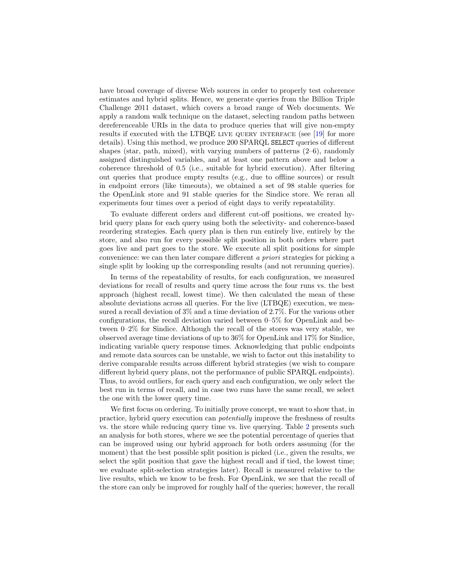have broad coverage of diverse Web sources in order to properly test coherence estimates and hybrid splits. Hence, we generate queries from the Billion Triple Challenge 2011 dataset, which covers a broad range of Web documents. We apply a random walk technique on the dataset, selecting random paths between dereferenceable URIs in the data to produce queries that will give non-empty results if executed with the LTBQE LIVE QUERY INTERFACE (see [\[19\]](#page-15-10) for more details). Using this method, we produce 200 SPARQL SELECT queries of different shapes (star, path, mixed), with varying numbers of patterns (2–6), randomly assigned distinguished variables, and at least one pattern above and below a coherence threshold of 0.5 (i.e., suitable for hybrid execution). After filtering out queries that produce empty results (e.g., due to offline sources) or result in endpoint errors (like timeouts), we obtained a set of 98 stable queries for the OpenLink store and 91 stable queries for the Sindice store. We reran all experiments four times over a period of eight days to verify repeatability.

To evaluate different orders and different cut-off positions, we created hybrid query plans for each query using both the selectivity- and coherence-based reordering strategies. Each query plan is then run entirely live, entirely by the store, and also run for every possible split position in both orders where part goes live and part goes to the store. We execute all split positions for simple convenience: we can then later compare different a priori strategies for picking a single split by looking up the corresponding results (and not rerunning queries).

In terms of the repeatability of results, for each configuration, we measured deviations for recall of results and query time across the four runs vs. the best approach (highest recall, lowest time). We then calculated the mean of these absolute deviations across all queries. For the live (LTBQE) execution, we measured a recall deviation of 3% and a time deviation of 2.7%. For the various other configurations, the recall deviation varied between 0–5% for OpenLink and between 0–2% for Sindice. Although the recall of the stores was very stable, we observed average time deviations of up to 36% for OpenLink and 17% for Sindice, indicating variable query response times. Acknowledging that public endpoints and remote data sources can be unstable, we wish to factor out this instability to derive comparable results across different hybrid strategies (we wish to compare different hybrid query plans, not the performance of public SPARQL endpoints). Thus, to avoid outliers, for each query and each configuration, we only select the best run in terms of recall, and in case two runs have the same recall, we select the one with the lower query time.

We first focus on ordering. To initially prove concept, we want to show that, in practice, hybrid query execution can potentially improve the freshness of results vs. the store while reducing query time vs. live querying. Table [2](#page-11-0) presents such an analysis for both stores, where we see the potential percentage of queries that can be improved using our hybrid approach for both orders assuming (for the moment) that the best possible split position is picked (i.e., given the results, we select the split position that gave the highest recall and if tied, the lowest time; we evaluate split-selection strategies later). Recall is measured relative to the live results, which we know to be fresh. For OpenLink, we see that the recall of the store can only be improved for roughly half of the queries; however, the recall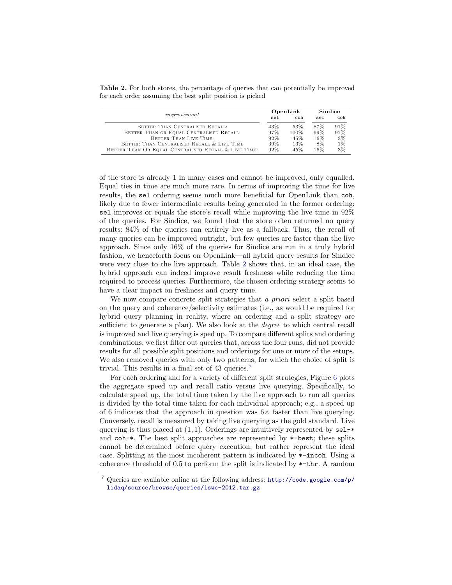<span id="page-11-0"></span>Table 2. For both stores, the percentage of queries that can potentially be improved for each order assuming the best split position is picked

| improvement                                          |     | OpenLink |        | Sindice |  |
|------------------------------------------------------|-----|----------|--------|---------|--|
|                                                      |     | coh      | sel    | coh     |  |
| BETTER THAN CENTRALISED RECALL:                      | 43% | 53%      | 87%    | 91%     |  |
| BETTER THAN OR EQUAL CENTRALISED RECALL:             | 97% | 100%     | 99%    | 97%     |  |
| BETTER THAN LIVE TIME:                               | 92% | 45%      | $16\%$ | $3\%$   |  |
| BETTER THAN CENTRALISED RECALL & LIVE TIME           |     | 13%      | 8%     | $1\%$   |  |
| BETTER THAN OR EQUAL CENTRALISED RECALL & LIVE TIME: | 92% | 45%      | $16\%$ | $3\%$   |  |

of the store is already 1 in many cases and cannot be improved, only equalled. Equal ties in time are much more rare. In terms of improving the time for live results, the sel ordering seems much more beneficial for OpenLink than coh, likely due to fewer intermediate results being generated in the former ordering: sel improves or equals the store's recall while improving the live time in 92% of the queries. For Sindice, we found that the store often returned no query results: 84% of the queries ran entirely live as a fallback. Thus, the recall of many queries can be improved outright, but few queries are faster than the live approach. Since only 16% of the queries for Sindice are run in a truly hybrid fashion, we henceforth focus on OpenLink—all hybrid query results for Sindice were very close to the live approach. Table [2](#page-11-0) shows that, in an ideal case, the hybrid approach can indeed improve result freshness while reducing the time required to process queries. Furthermore, the chosen ordering strategy seems to have a clear impact on freshness and query time.

We now compare concrete split strategies that a priori select a split based on the query and coherence/selectivity estimates (i.e., as would be required for hybrid query planning in reality, where an ordering and a split strategy are sufficient to generate a plan). We also look at the degree to which central recall is improved and live querying is sped up. To compare different splits and ordering combinations, we first filter out queries that, across the four runs, did not provide results for all possible split positions and orderings for one or more of the setups. We also removed queries with only two patterns, for which the choice of split is trivial. This results in a final set of 43 queries.<sup>[7](#page-11-1)</sup>

For each ordering and for a variety of different split strategies, Figure [6](#page-12-0) plots the aggregate speed up and recall ratio versus live querying. Specifically, to calculate speed up, the total time taken by the live approach to run all queries is divided by the total time taken for each individual approach; e.g., a speed up of 6 indicates that the approach in question was  $6\times$  faster than live querying. Conversely, recall is measured by taking live querying as the gold standard. Live querying is thus placed at  $(1, 1)$ . Orderings are intuitively represented by  $\texttt{sel-*}$ and coh-\*. The best split approaches are represented by \*-best; these splits cannot be determined before query execution, but rather represent the ideal case. Splitting at the most incoherent pattern is indicated by \*-incoh. Using a coherence threshold of 0.5 to perform the split is indicated by \*-thr. A random

<span id="page-11-1"></span><sup>7</sup> Queries are available online at the following address: [http://code.google.com/p/](http://code.google.com/p/lidaq/source/browse/queries/iswc-2012.tar.gz) [lidaq/source/browse/queries/iswc-2012.tar.gz](http://code.google.com/p/lidaq/source/browse/queries/iswc-2012.tar.gz)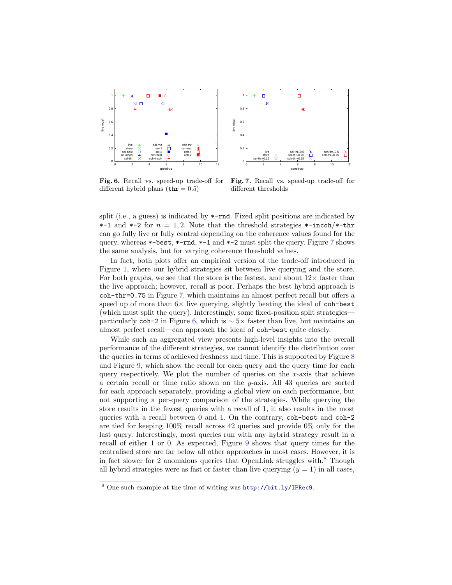



<span id="page-12-0"></span>Fig. 6. Recall vs. speed-up trade-off for different hybrid plans ( $thr = 0.5$ )

<span id="page-12-1"></span>Fig. 7. Recall vs. speed-up trade-off for different thresholds

split (i.e., a guess) is indicated by  $*$ -rnd. Fixed split positions are indicated by \*-1 and \*-2 for  $n = 1, 2$ . Note that the threshold strategies \*-incoh/\*-thr can go fully live or fully central depending on the coherence values found for the query, whereas \*-best, \*-rnd, \*-1 and \*-2 must split the query. Figure [7](#page-12-1) shows the same analysis, but for varying coherence threshold values.

In fact, both plots offer an empirical version of the trade-off introduced in Figure [1,](#page-1-0) where our hybrid strategies sit between live querying and the store. For both graphs, we see that the store is the fastest, and about  $12\times$  faster than the live approach; however, recall is poor. Perhaps the best hybrid approach is coh-thr=0.75 in Figure [7,](#page-12-1) which maintains an almost perfect recall but offers a speed up of more than  $6 \times$  live querying, slightly beating the ideal of coh-best (which must split the query). Interestingly, some fixed-position split strategies— particularly coh-2 in Figure [6,](#page-12-0) which is  $\sim$  5× faster than live, but maintains an almost perfect recall—can approach the ideal of coh-best quite closely.

While such an aggregated view presents high-level insights into the overall performance of the different strategies, we cannot identify the distribution over the queries in terms of achieved freshness and time. This is supported by Figure [8](#page-13-0) and Figure [9,](#page-13-1) which show the recall for each query and the query time for each query respectively. We plot the number of queries on the  $x$ -axis that achieve a certain recall or time ratio shown on the  $y$ -axis. All 43 queries are sorted for each approach separately, providing a global view on each performance, but not supporting a per-query comparison of the strategies. While querying the store results in the fewest queries with a recall of 1, it also results in the most queries with a recall between 0 and 1. On the contrary, coh-best and coh-2 are tied for keeping 100% recall across 42 queries and provide 0% only for the last query. Interestingly, most queries run with any hybrid strategy result in a recall of either 1 or 0. As expected, Figure [9](#page-13-1) shows that query times for the centralised store are far below all other approaches in most cases. However, it is in fact slower for 2 anomalous queries that OpenLink struggles with.<sup>[8](#page-12-2)</sup> Though all hybrid strategies were as fast or faster than live querying  $(y = 1)$  in all cases,

<span id="page-12-2"></span><sup>8</sup> One such example at the time of writing was <http://bit.ly/IPRec9>.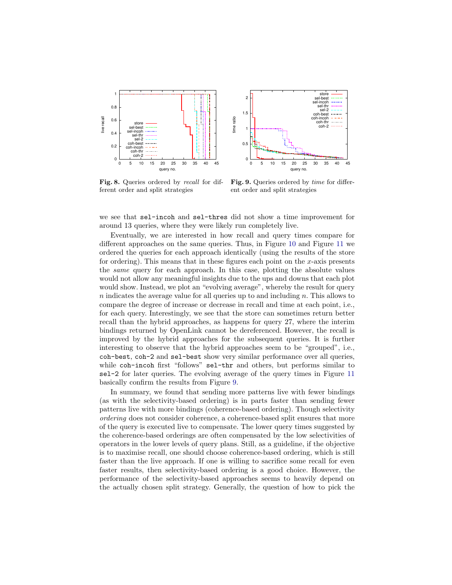



<span id="page-13-0"></span>Fig. 8. Queries ordered by recall for different order and split strategies

<span id="page-13-1"></span>Fig. 9. Queries ordered by *time* for different order and split strategies

we see that sel-incoh and sel-thres did not show a time improvement for around 13 queries, where they were likely run completely live.

Eventually, we are interested in how recall and query times compare for different approaches on the same queries. Thus, in Figure [10](#page-14-1) and Figure [11](#page-14-2) we ordered the queries for each approach identically (using the results of the store for ordering). This means that in these figures each point on the x-axis presents the same query for each approach. In this case, plotting the absolute values would not allow any meaningful insights due to the ups and downs that each plot would show. Instead, we plot an "evolving average", whereby the result for query  $n$  indicates the average value for all queries up to and including  $n$ . This allows to compare the degree of increase or decrease in recall and time at each point, i.e., for each query. Interestingly, we see that the store can sometimes return better recall than the hybrid approaches, as happens for query 27, where the interim bindings returned by OpenLink cannot be dereferenced. However, the recall is improved by the hybrid approaches for the subsequent queries. It is further interesting to observe that the hybrid approaches seem to be "grouped", i.e., coh-best, coh-2 and sel-best show very similar performance over all queries, while coh-incoh first "follows" sel-thr and others, but performs similar to sel-2 for later queries. The evolving average of the query times in Figure [11](#page-14-2) basically confirm the results from Figure [9.](#page-13-1)

In summary, we found that sending more patterns live with fewer bindings (as with the selectivity-based ordering) is in parts faster than sending fewer patterns live with more bindings (coherence-based ordering). Though selectivity ordering does not consider coherence, a coherence-based split ensures that more of the query is executed live to compensate. The lower query times suggested by the coherence-based orderings are often compensated by the low selectivities of operators in the lower levels of query plans. Still, as a guideline, if the objective is to maximise recall, one should choose coherence-based ordering, which is still faster than the live approach. If one is willing to sacrifice some recall for even faster results, then selectivity-based ordering is a good choice. However, the performance of the selectivity-based approaches seems to heavily depend on the actually chosen split strategy. Generally, the question of how to pick the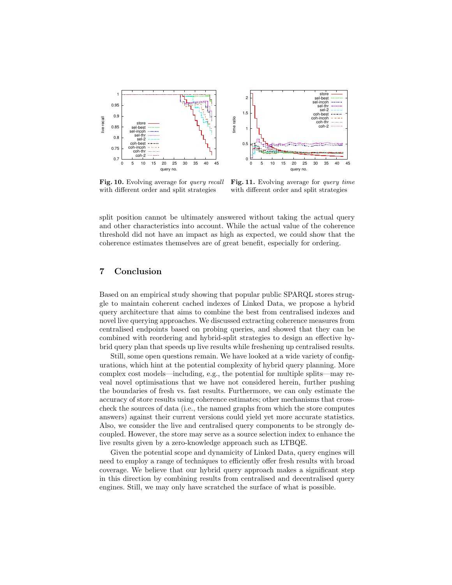

<span id="page-14-1"></span>Fig. 10. Evolving average for *query recall* with different order and split strategies

<span id="page-14-2"></span>Fig. 11. Evolving average for *query time* with different order and split strategies

split position cannot be ultimately answered without taking the actual query and other characteristics into account. While the actual value of the coherence threshold did not have an impact as high as expected, we could show that the coherence estimates themselves are of great benefit, especially for ordering.

## <span id="page-14-0"></span>7 Conclusion

Based on an empirical study showing that popular public SPARQL stores struggle to maintain coherent cached indexes of Linked Data, we propose a hybrid query architecture that aims to combine the best from centralised indexes and novel live querying approaches. We discussed extracting coherence measures from centralised endpoints based on probing queries, and showed that they can be combined with reordering and hybrid-split strategies to design an effective hybrid query plan that speeds up live results while freshening up centralised results.

Still, some open questions remain. We have looked at a wide variety of configurations, which hint at the potential complexity of hybrid query planning. More complex cost models—including, e.g., the potential for multiple splits—may reveal novel optimisations that we have not considered herein, further pushing the boundaries of fresh vs. fast results. Furthermore, we can only estimate the accuracy of store results using coherence estimates; other mechanisms that crosscheck the sources of data (i.e., the named graphs from which the store computes answers) against their current versions could yield yet more accurate statistics. Also, we consider the live and centralised query components to be strongly decoupled. However, the store may serve as a source selection index to enhance the live results given by a zero-knowledge approach such as LTBQE.

Given the potential scope and dynamicity of Linked Data, query engines will need to employ a range of techniques to efficiently offer fresh results with broad coverage. We believe that our hybrid query approach makes a significant step in this direction by combining results from centralised and decentralised query engines. Still, we may only have scratched the surface of what is possible.